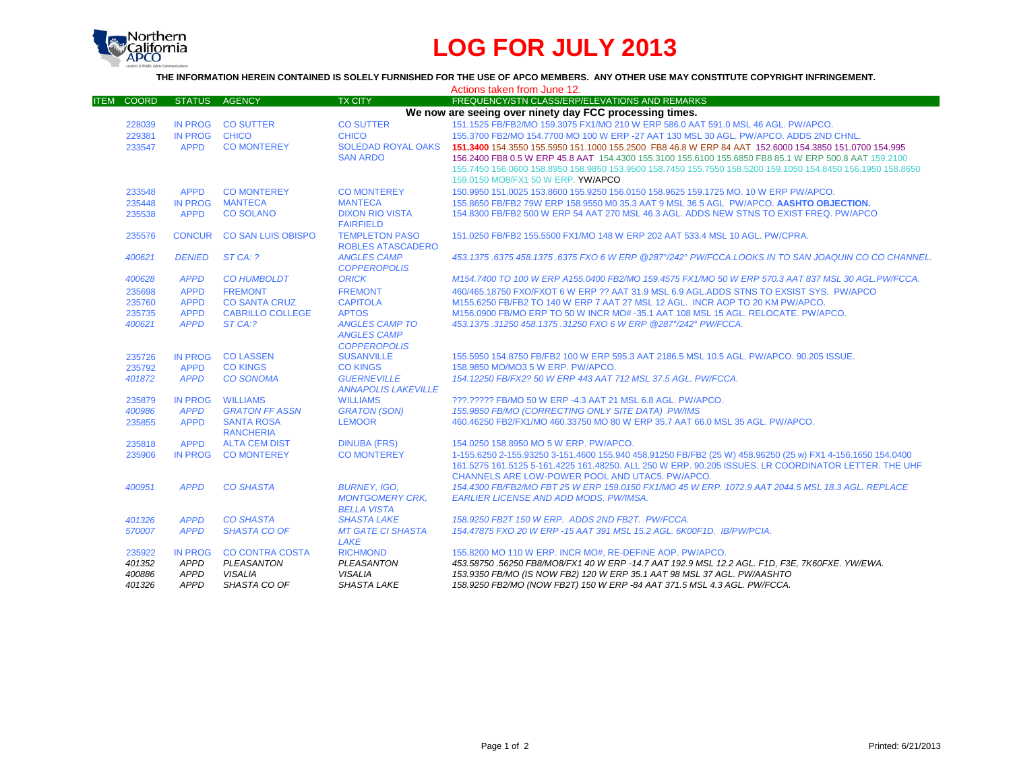

## **LOG FOR JULY 2013**

**THE INFORMATION HEREIN CONTAINED IS SOLELY FURNISHED FOR THE USE OF APCO MEMBERS. ANY OTHER USE MAY CONSTITUTE COPYRIGHT INFRINGEMENT.**

|                             |                |                           |                                               | Actions taken from June 12.                                                                                 |
|-----------------------------|----------------|---------------------------|-----------------------------------------------|-------------------------------------------------------------------------------------------------------------|
| <b>COORD</b><br><b>ITEM</b> | <b>STATUS</b>  | <b>AGENCY</b>             | <b>TX CITY</b>                                | FREQUENCY/STN CLASS/ERP/ELEVATIONS AND REMARKS                                                              |
|                             |                |                           |                                               | We now are seeing over ninety day FCC processing times.                                                     |
| 228039                      |                | IN PROG CO SUTTER         | <b>CO SUTTER</b>                              | 151.1525 FB/FB2/MO 159.3075 FX1/MO 210 W ERP 586.0 AAT 591.0 MSL 46 AGL. PW/APCO.                           |
| 229381                      | IN PROG        | <b>CHICO</b>              | <b>CHICO</b>                                  | 155.3700 FB2/MO 154.7700 MO 100 W ERP -27 AAT 130 MSL 30 AGL. PW/APCO. ADDS 2ND CHNL.                       |
| 233547                      | <b>APPD</b>    | <b>CO MONTEREY</b>        | <b>SOLEDAD ROYAL OAKS</b>                     | 151.3400 154.3550 155.5950 151.1000 155.2500 FB8 46.8 W ERP 84 AAT 152.6000 154.3850 151.0700 154.995       |
|                             |                |                           | <b>SAN ARDO</b>                               | 156.2400 FB8 0.5 W ERP 45.8 AAT 154.4300 155.3100 155.6100 155.6850 FB8 85.1 W ERP 500.8 AAT 159.2100       |
|                             |                |                           |                                               | 155.7450 156.0600 158.8950 158.9850 153.9500 158.7450 155.7550 158.5200 159.1050 154.8450 156.1950 158.8650 |
|                             |                |                           |                                               | 159.0150 MO8/FX1 50 W ERP. YW/APCO                                                                          |
| 233548                      | <b>APPD</b>    | <b>CO MONTEREY</b>        | <b>CO MONTEREY</b>                            | 150,9950 151,0025 153,8600 155,9250 156,0150 158,9625 159,1725 MO, 10 W ERP PW/APCO,                        |
| 235448                      |                | IN PROG MANTECA           | <b>MANTECA</b>                                | 155.8650 FB/FB2 79W ERP 158.9550 M0 35.3 AAT 9 MSL 36.5 AGL PW/APCO. AASHTO OBJECTION.                      |
| 235538                      | <b>APPD</b>    | <b>CO SOLANO</b>          | <b>DIXON RIO VISTA</b>                        | 154,8300 FB/FB2 500 W ERP 54 AAT 270 MSL 46.3 AGL, ADDS NEW STNS TO EXIST FREQ, PW/APCO                     |
|                             |                |                           | <b>FAIRFIELD</b>                              |                                                                                                             |
| 235576                      |                | CONCUR CO SAN LUIS OBISPO | <b>TEMPLETON PASO</b>                         | 151.0250 FB/FB2 155.5500 FX1/MO 148 W ERP 202 AAT 533.4 MSL 10 AGL, PW/CPRA.                                |
|                             |                |                           | <b>ROBLES ATASCADERO</b>                      |                                                                                                             |
| 400621                      | <b>DENIED</b>  | STCA: ?                   | <b>ANGLES CAMP</b>                            | 453.1375 .6375 458.1375 .6375 FXO 6 W ERP @287°/242° PW/FCCA.LOOKS IN TO SAN JOAQUIN CO CO CHANNEL.         |
|                             |                |                           | <b>COPPEROPOLIS</b>                           |                                                                                                             |
| 400628                      | <b>APPD</b>    | <b>CO HUMBOLDT</b>        | <b>ORICK</b>                                  | M154.7400 TO 100 W ERP A155.0400 FB2/MO 159.4575 FX1/MO 50 W ERP 570.3 AAT 837 MSL 30 AGL.PW/FCCA.          |
| 235698                      | <b>APPD</b>    | <b>FREMONT</b>            | <b>FREMONT</b>                                | 460/465.18750 FXO/FXOT 6 W ERP ?? AAT 31.9 MSL 6.9 AGL.ADDS STNS TO EXSIST SYS. PW/APCO                     |
| 235760                      | <b>APPD</b>    | <b>CO SANTA CRUZ</b>      | <b>CAPITOLA</b>                               | M155.6250 FB/FB2 TO 140 W ERP 7 AAT 27 MSL 12 AGL. INCR AOP TO 20 KM PW/APCO.                               |
| 235735                      | <b>APPD</b>    | <b>CABRILLO COLLEGE</b>   | <b>APTOS</b>                                  | M156.0900 FB/MO ERP TO 50 W INCR MO#-35.1 AAT 108 MSL 15 AGL, RELOCATE, PW/APCO,                            |
| 400621                      | <b>APPD</b>    | ST CA:?                   | <b>ANGLES CAMP TO</b>                         | 453.1375.31250 458.1375.31250 FXO 6 W ERP @287°/242° PW/FCCA.                                               |
|                             |                |                           | <b>ANGLES CAMP</b>                            |                                                                                                             |
|                             |                |                           | <b>COPPEROPOLIS</b>                           |                                                                                                             |
| 235726                      | <b>IN PROG</b> | <b>CO LASSEN</b>          | <b>SUSANVILLE</b>                             | 155,5950 154,8750 FB/FB2 100 W ERP 595,3 AAT 2186,5 MSL 10.5 AGL, PW/APCO, 90,205 ISSUE.                    |
| 235792                      | <b>APPD</b>    | <b>CO KINGS</b>           | <b>CO KINGS</b>                               | 158.9850 MO/MO3 5 W ERP. PW/APCO.                                                                           |
| 401872                      | <b>APPD</b>    | <b>CO SONOMA</b>          | <b>GUERNEVILLE</b>                            | 154.12250 FB/FX2? 50 W ERP 443 AAT 712 MSL 37.5 AGL. PW/FCCA.                                               |
|                             | <b>IN PROG</b> | <b>WILLIAMS</b>           | <b>ANNAPOLIS LAKEVILLE</b><br><b>WILLIAMS</b> | ???.????? FB/MO 50 W ERP -4.3 AAT 21 MSL 6.8 AGL. PW/APCO.                                                  |
| 235879<br>400986            | <b>APPD</b>    | <b>GRATON FF ASSN</b>     | <b>GRATON (SON)</b>                           | 155.9850 FB/MO (CORRECTING ONLY SITE DATA) PW/IMS                                                           |
| 235855                      | <b>APPD</b>    | <b>SANTA ROSA</b>         | <b>LEMOOR</b>                                 | 460.46250 FB2/FX1/MO 460.33750 MO 80 W ERP 35.7 AAT 66.0 MSL 35 AGL, PW/APCO.                               |
|                             |                | <b>RANCHERIA</b>          |                                               |                                                                                                             |
| 235818                      | <b>APPD</b>    | <b>ALTA CEM DIST</b>      | <b>DINUBA (FRS)</b>                           | 154.0250 158.8950 MO 5 W ERP. PW/APCO.                                                                      |
| 235906                      | IN PROG        | <b>CO MONTEREY</b>        | <b>CO MONTEREY</b>                            | 1-155.6250 2-155.93250 3-151.4600 155.940 458.91250 FB/FB2 (25 W) 458.96250 (25 w) FX1 4-156.1650 154.0400  |
|                             |                |                           |                                               | 161.5275 161.5125 5-161.4225 161.48250. ALL 250 W ERP. 90.205 ISSUES. LR COORDINATOR LETTER. THE UHF        |
|                             |                |                           |                                               | CHANNELS ARE LOW-POWER POOL AND UTAC5. PW/APCO.                                                             |
| 400951                      | <b>APPD</b>    | <b>CO SHASTA</b>          | <b>BURNEY, IGO.</b>                           | 154.4300 FB/FB2/MO FBT 25 W ERP 159.0150 FX1/MO 45 W ERP. 1072.9 AAT 2044.5 MSL 18.3 AGL. REPLACE           |
|                             |                |                           | <b>MONTGOMERY CRK.</b>                        | <b>EARLIER LICENSE AND ADD MODS. PW/IMSA.</b>                                                               |
|                             |                |                           | <b>BELLA VISTA</b>                            |                                                                                                             |
| 401326                      | <b>APPD</b>    | <b>CO SHASTA</b>          | <b>SHASTA LAKE</b>                            | 158.9250 FB2T 150 W ERP. ADDS 2ND FB2T. PW/FCCA.                                                            |
| 570007                      | <b>APPD</b>    | <b>SHASTA CO OF</b>       | <b>MT GATE CI SHASTA</b>                      | 154.47875 FXO 20 W ERP -15 AAT 391 MSL 15.2 AGL, 6K00F1D, IB/PW/PCIA,                                       |
|                             |                |                           | LAKE                                          |                                                                                                             |
| 235922                      | <b>IN PROG</b> | <b>CO CONTRA COSTA</b>    | <b>RICHMOND</b>                               | 155,8200 MO 110 W ERP. INCR MO#, RE-DEFINE AOP. PW/APCO.                                                    |
| 401352                      | <b>APPD</b>    | PLEASANTON                | PLEASANTON                                    | 453.58750 .56250 FB8/MO8/FX1 40 W ERP -14.7 AAT 192.9 MSL 12.2 AGL. F1D, F3E, 7K60FXE. YW/EWA.              |
| 400886                      | <b>APPD</b>    | <b>VISALIA</b>            | <b>VISALIA</b>                                | 153.9350 FB/MO (IS NOW FB2) 120 W ERP 35.1 AAT 98 MSL 37 AGL. PW/AASHTO                                     |
| 401326                      | <b>APPD</b>    | SHASTA CO OF              | <b>SHASTA LAKE</b>                            | 158.9250 FB2/MO (NOW FB2T) 150 W ERP -84 AAT 371.5 MSL 4.3 AGL. PW/FCCA.                                    |